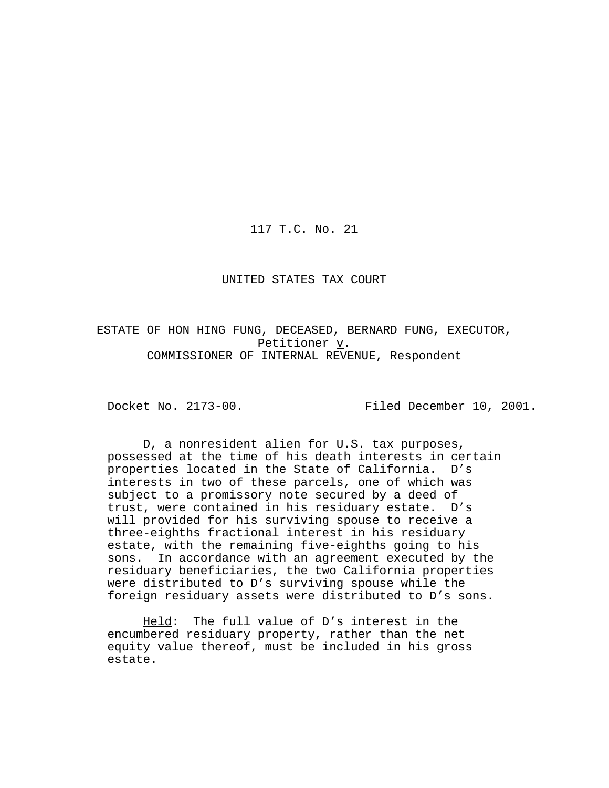117 T.C. No. 21

#### UNITED STATES TAX COURT

ESTATE OF HON HING FUNG, DECEASED, BERNARD FUNG, EXECUTOR, Petitioner v. COMMISSIONER OF INTERNAL REVENUE, Respondent

Docket No. 2173-00. Filed December 10, 2001.

D, a nonresident alien for U.S. tax purposes, possessed at the time of his death interests in certain properties located in the State of California. D's interests in two of these parcels, one of which was subject to a promissory note secured by a deed of trust, were contained in his residuary estate. D's will provided for his surviving spouse to receive a three-eighths fractional interest in his residuary estate, with the remaining five-eighths going to his sons. In accordance with an agreement executed by the residuary beneficiaries, the two California properties were distributed to D's surviving spouse while the foreign residuary assets were distributed to D's sons.

Held: The full value of D's interest in the encumbered residuary property, rather than the net equity value thereof, must be included in his gross estate.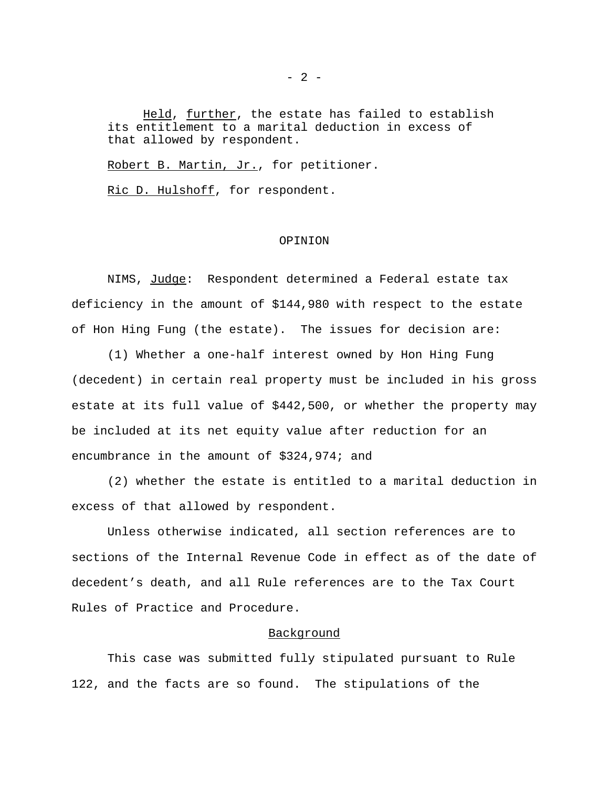Held, further, the estate has failed to establish its entitlement to a marital deduction in excess of that allowed by respondent.

Robert B. Martin, Jr., for petitioner.

Ric D. Hulshoff, for respondent.

#### OPINION

NIMS, Judge: Respondent determined a Federal estate tax deficiency in the amount of \$144,980 with respect to the estate of Hon Hing Fung (the estate). The issues for decision are:

(1) Whether a one-half interest owned by Hon Hing Fung (decedent) in certain real property must be included in his gross estate at its full value of \$442,500, or whether the property may be included at its net equity value after reduction for an encumbrance in the amount of \$324,974; and

(2) whether the estate is entitled to a marital deduction in excess of that allowed by respondent.

Unless otherwise indicated, all section references are to sections of the Internal Revenue Code in effect as of the date of decedent's death, and all Rule references are to the Tax Court Rules of Practice and Procedure.

### Background

This case was submitted fully stipulated pursuant to Rule 122, and the facts are so found. The stipulations of the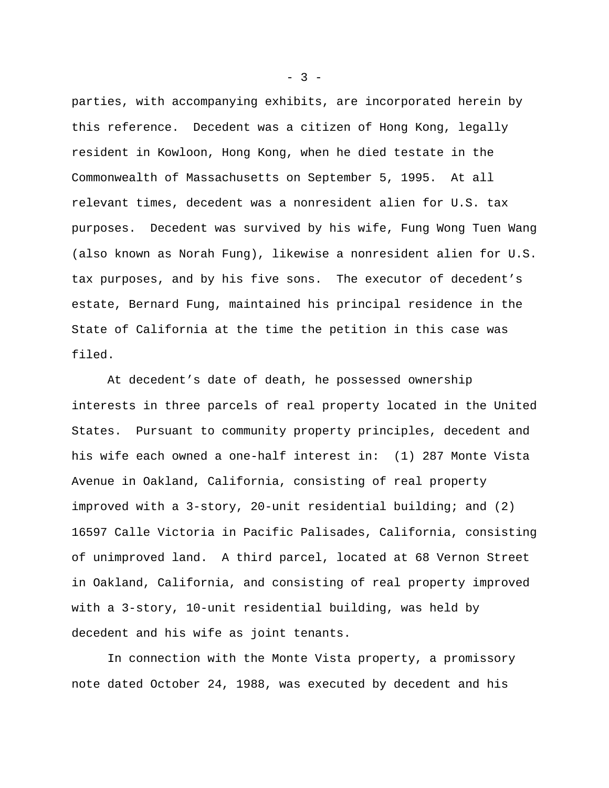parties, with accompanying exhibits, are incorporated herein by this reference. Decedent was a citizen of Hong Kong, legally resident in Kowloon, Hong Kong, when he died testate in the Commonwealth of Massachusetts on September 5, 1995. At all relevant times, decedent was a nonresident alien for U.S. tax purposes. Decedent was survived by his wife, Fung Wong Tuen Wang (also known as Norah Fung), likewise a nonresident alien for U.S. tax purposes, and by his five sons. The executor of decedent's estate, Bernard Fung, maintained his principal residence in the State of California at the time the petition in this case was filed.

At decedent's date of death, he possessed ownership interests in three parcels of real property located in the United States. Pursuant to community property principles, decedent and his wife each owned a one-half interest in: (1) 287 Monte Vista Avenue in Oakland, California, consisting of real property improved with a 3-story, 20-unit residential building; and (2) 16597 Calle Victoria in Pacific Palisades, California, consisting of unimproved land. A third parcel, located at 68 Vernon Street in Oakland, California, and consisting of real property improved with a 3-story, 10-unit residential building, was held by decedent and his wife as joint tenants.

In connection with the Monte Vista property, a promissory note dated October 24, 1988, was executed by decedent and his

 $- 3 -$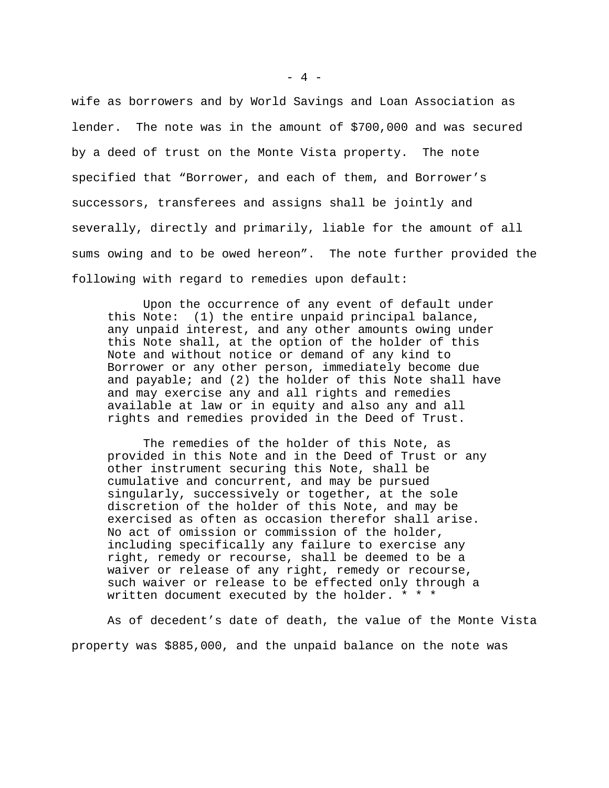wife as borrowers and by World Savings and Loan Association as lender. The note was in the amount of \$700,000 and was secured by a deed of trust on the Monte Vista property. The note specified that "Borrower, and each of them, and Borrower's successors, transferees and assigns shall be jointly and severally, directly and primarily, liable for the amount of all sums owing and to be owed hereon". The note further provided the following with regard to remedies upon default:

Upon the occurrence of any event of default under this Note: (1) the entire unpaid principal balance, any unpaid interest, and any other amounts owing under this Note shall, at the option of the holder of this Note and without notice or demand of any kind to Borrower or any other person, immediately become due and payable; and (2) the holder of this Note shall have and may exercise any and all rights and remedies available at law or in equity and also any and all rights and remedies provided in the Deed of Trust.

The remedies of the holder of this Note, as provided in this Note and in the Deed of Trust or any other instrument securing this Note, shall be cumulative and concurrent, and may be pursued singularly, successively or together, at the sole discretion of the holder of this Note, and may be exercised as often as occasion therefor shall arise. No act of omission or commission of the holder, including specifically any failure to exercise any right, remedy or recourse, shall be deemed to be a waiver or release of any right, remedy or recourse, such waiver or release to be effected only through a written document executed by the holder. \* \* \*

As of decedent's date of death, the value of the Monte Vista property was \$885,000, and the unpaid balance on the note was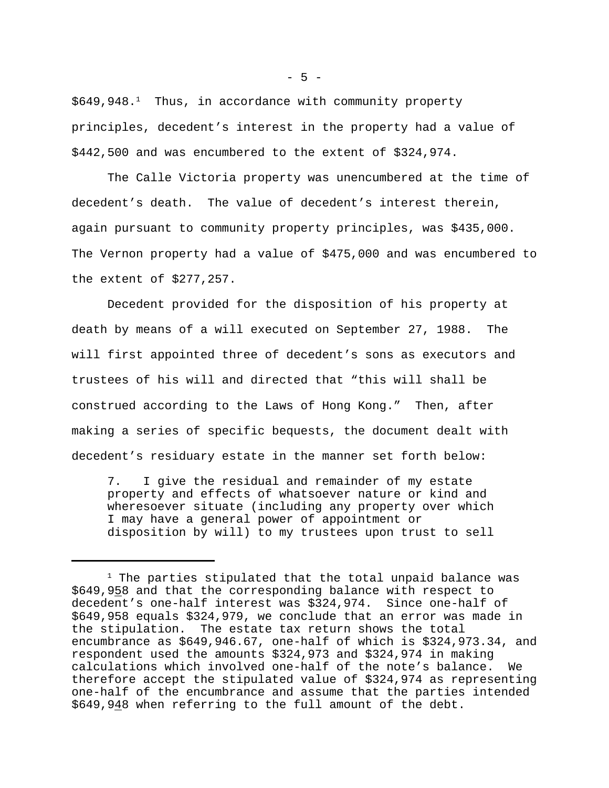\$649,948.<sup>1</sup> Thus, in accordance with community property principles, decedent's interest in the property had a value of \$442,500 and was encumbered to the extent of \$324,974.

The Calle Victoria property was unencumbered at the time of decedent's death. The value of decedent's interest therein, again pursuant to community property principles, was \$435,000. The Vernon property had a value of \$475,000 and was encumbered to the extent of \$277,257.

Decedent provided for the disposition of his property at death by means of a will executed on September 27, 1988. The will first appointed three of decedent's sons as executors and trustees of his will and directed that "this will shall be construed according to the Laws of Hong Kong." Then, after making a series of specific bequests, the document dealt with decedent's residuary estate in the manner set forth below:

7. I give the residual and remainder of my estate property and effects of whatsoever nature or kind and wheresoever situate (including any property over which I may have a general power of appointment or disposition by will) to my trustees upon trust to sell

 $1$  The parties stipulated that the total unpaid balance was \$649,958 and that the corresponding balance with respect to decedent's one-half interest was \$324,974. Since one-half of \$649,958 equals \$324,979, we conclude that an error was made in the stipulation. The estate tax return shows the total encumbrance as \$649,946.67, one-half of which is \$324,973.34, and respondent used the amounts \$324,973 and \$324,974 in making calculations which involved one-half of the note's balance. We therefore accept the stipulated value of \$324,974 as representing one-half of the encumbrance and assume that the parties intended \$649,948 when referring to the full amount of the debt.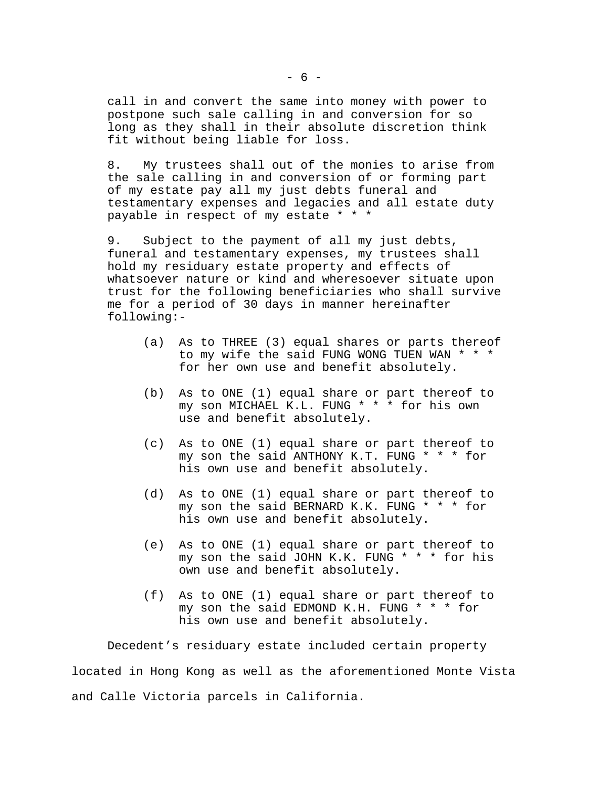call in and convert the same into money with power to postpone such sale calling in and conversion for so long as they shall in their absolute discretion think fit without being liable for loss.

8. My trustees shall out of the monies to arise from the sale calling in and conversion of or forming part of my estate pay all my just debts funeral and testamentary expenses and legacies and all estate duty payable in respect of my estate \* \* \*

9. Subject to the payment of all my just debts, funeral and testamentary expenses, my trustees shall hold my residuary estate property and effects of whatsoever nature or kind and wheresoever situate upon trust for the following beneficiaries who shall survive me for a period of 30 days in manner hereinafter following:-

- (a) As to THREE (3) equal shares or parts thereof to my wife the said FUNG WONG TUEN WAN \* \* \* for her own use and benefit absolutely.
- (b) As to ONE (1) equal share or part thereof to my son MICHAEL K.L. FUNG \* \* \* for his own use and benefit absolutely.
- (c) As to ONE (1) equal share or part thereof to my son the said ANTHONY K.T. FUNG \* \* \* for his own use and benefit absolutely.
- (d) As to ONE (1) equal share or part thereof to my son the said BERNARD K.K. FUNG \* \* \* for his own use and benefit absolutely.
- (e) As to ONE (1) equal share or part thereof to my son the said JOHN K.K. FUNG \* \* \* for his own use and benefit absolutely.
- (f) As to ONE (1) equal share or part thereof to my son the said EDMOND K.H. FUNG \* \* \* for his own use and benefit absolutely.

Decedent's residuary estate included certain property located in Hong Kong as well as the aforementioned Monte Vista and Calle Victoria parcels in California.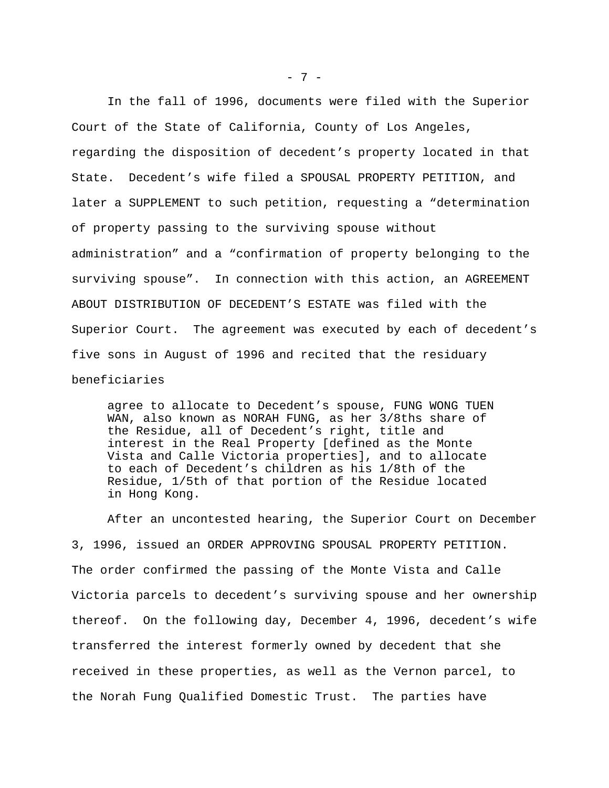In the fall of 1996, documents were filed with the Superior Court of the State of California, County of Los Angeles, regarding the disposition of decedent's property located in that State. Decedent's wife filed a SPOUSAL PROPERTY PETITION, and later a SUPPLEMENT to such petition, requesting a "determination of property passing to the surviving spouse without administration" and a "confirmation of property belonging to the surviving spouse". In connection with this action, an AGREEMENT ABOUT DISTRIBUTION OF DECEDENT'S ESTATE was filed with the Superior Court. The agreement was executed by each of decedent's five sons in August of 1996 and recited that the residuary beneficiaries

agree to allocate to Decedent's spouse, FUNG WONG TUEN WAN, also known as NORAH FUNG, as her 3/8ths share of the Residue, all of Decedent's right, title and interest in the Real Property [defined as the Monte Vista and Calle Victoria properties], and to allocate to each of Decedent's children as his 1/8th of the Residue, 1/5th of that portion of the Residue located in Hong Kong.

After an uncontested hearing, the Superior Court on December 3, 1996, issued an ORDER APPROVING SPOUSAL PROPERTY PETITION. The order confirmed the passing of the Monte Vista and Calle Victoria parcels to decedent's surviving spouse and her ownership thereof. On the following day, December 4, 1996, decedent's wife transferred the interest formerly owned by decedent that she received in these properties, as well as the Vernon parcel, to the Norah Fung Qualified Domestic Trust. The parties have

- 7 -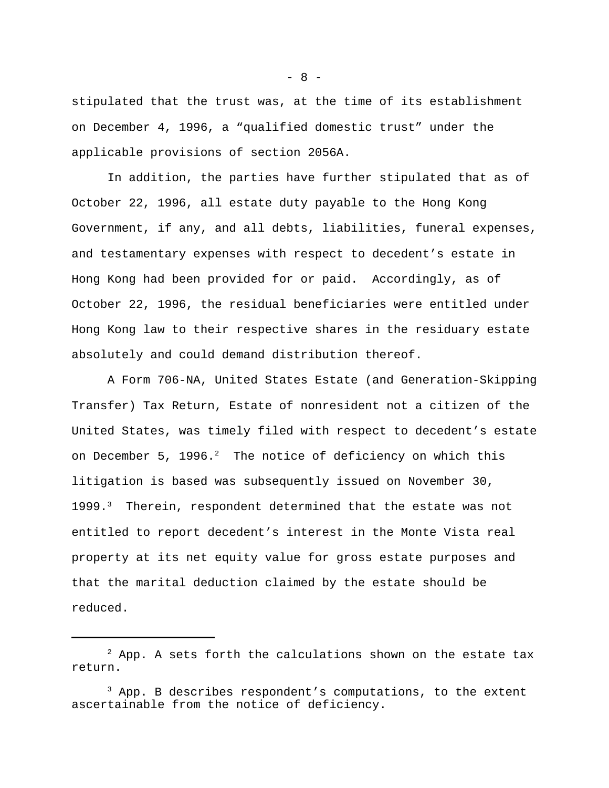stipulated that the trust was, at the time of its establishment on December 4, 1996, a "qualified domestic trust" under the applicable provisions of section 2056A.

In addition, the parties have further stipulated that as of October 22, 1996, all estate duty payable to the Hong Kong Government, if any, and all debts, liabilities, funeral expenses, and testamentary expenses with respect to decedent's estate in Hong Kong had been provided for or paid. Accordingly, as of October 22, 1996, the residual beneficiaries were entitled under Hong Kong law to their respective shares in the residuary estate absolutely and could demand distribution thereof.

A Form 706-NA, United States Estate (and Generation-Skipping Transfer) Tax Return, Estate of nonresident not a citizen of the United States, was timely filed with respect to decedent's estate on December 5, 1996. $^2$  The notice of deficiency on which this litigation is based was subsequently issued on November 30, 1999.<sup>3</sup> Therein, respondent determined that the estate was not entitled to report decedent's interest in the Monte Vista real property at its net equity value for gross estate purposes and that the marital deduction claimed by the estate should be reduced.

 $- 8 -$ 

 $2$  App. A sets forth the calculations shown on the estate tax return.

 $3$  App. B describes respondent's computations, to the extent ascertainable from the notice of deficiency.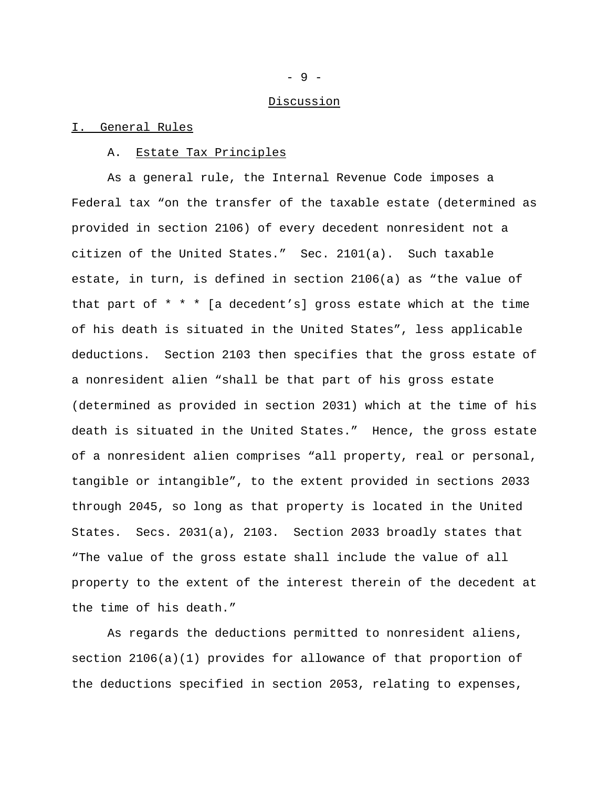#### Discussion

#### I. General Rules

#### A. Estate Tax Principles

As a general rule, the Internal Revenue Code imposes a Federal tax "on the transfer of the taxable estate (determined as provided in section 2106) of every decedent nonresident not a citizen of the United States." Sec. 2101(a). Such taxable estate, in turn, is defined in section 2106(a) as "the value of that part of \* \* \* [a decedent's] gross estate which at the time of his death is situated in the United States", less applicable deductions. Section 2103 then specifies that the gross estate of a nonresident alien "shall be that part of his gross estate (determined as provided in section 2031) which at the time of his death is situated in the United States." Hence, the gross estate of a nonresident alien comprises "all property, real or personal, tangible or intangible", to the extent provided in sections 2033 through 2045, so long as that property is located in the United States. Secs. 2031(a), 2103. Section 2033 broadly states that "The value of the gross estate shall include the value of all property to the extent of the interest therein of the decedent at the time of his death."

As regards the deductions permitted to nonresident aliens, section 2106(a)(1) provides for allowance of that proportion of the deductions specified in section 2053, relating to expenses,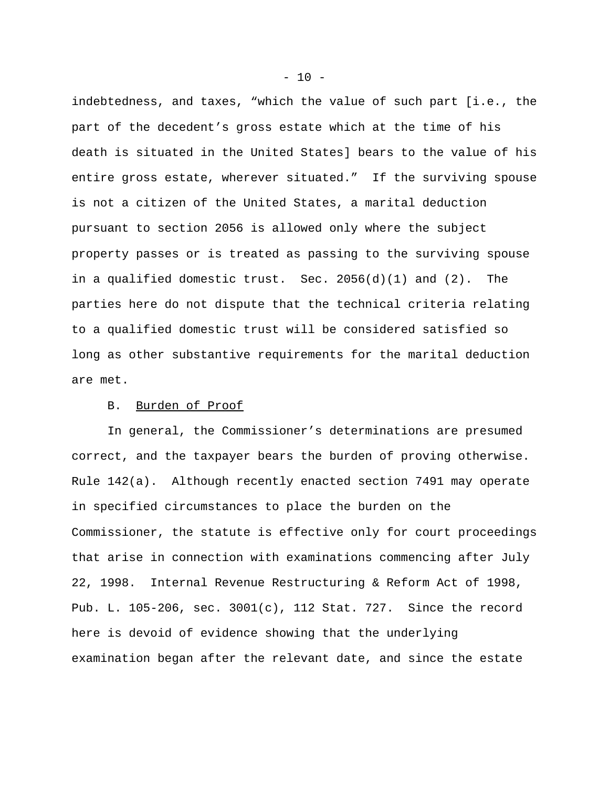indebtedness, and taxes, "which the value of such part [i.e., the part of the decedent's gross estate which at the time of his death is situated in the United States] bears to the value of his entire gross estate, wherever situated." If the surviving spouse is not a citizen of the United States, a marital deduction pursuant to section 2056 is allowed only where the subject property passes or is treated as passing to the surviving spouse in a qualified domestic trust. Sec. 2056(d)(1) and (2). The parties here do not dispute that the technical criteria relating to a qualified domestic trust will be considered satisfied so long as other substantive requirements for the marital deduction are met.

# B. Burden of Proof

In general, the Commissioner's determinations are presumed correct, and the taxpayer bears the burden of proving otherwise. Rule 142(a). Although recently enacted section 7491 may operate in specified circumstances to place the burden on the Commissioner, the statute is effective only for court proceedings that arise in connection with examinations commencing after July 22, 1998. Internal Revenue Restructuring & Reform Act of 1998, Pub. L. 105-206, sec. 3001(c), 112 Stat. 727. Since the record here is devoid of evidence showing that the underlying examination began after the relevant date, and since the estate

 $- 10 -$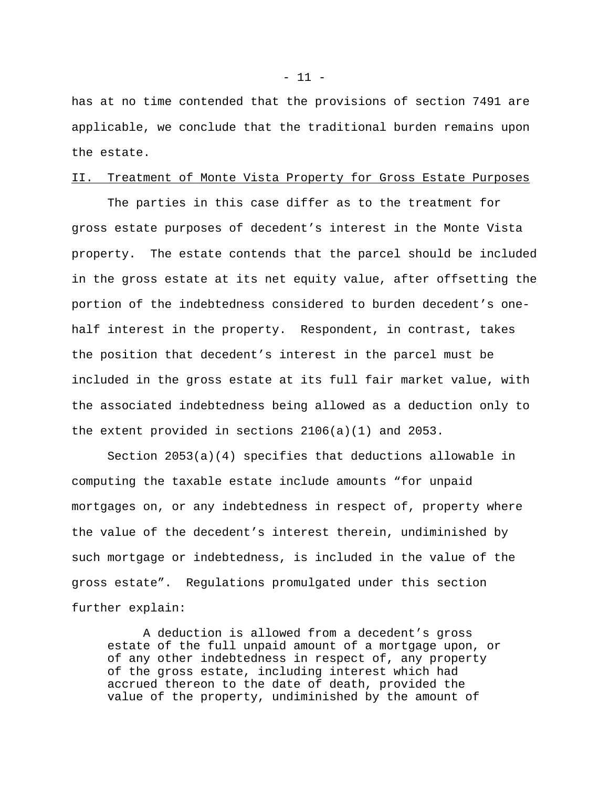has at no time contended that the provisions of section 7491 are applicable, we conclude that the traditional burden remains upon the estate.

## II. Treatment of Monte Vista Property for Gross Estate Purposes

The parties in this case differ as to the treatment for gross estate purposes of decedent's interest in the Monte Vista property. The estate contends that the parcel should be included in the gross estate at its net equity value, after offsetting the portion of the indebtedness considered to burden decedent's onehalf interest in the property. Respondent, in contrast, takes the position that decedent's interest in the parcel must be included in the gross estate at its full fair market value, with the associated indebtedness being allowed as a deduction only to the extent provided in sections 2106(a)(1) and 2053.

Section 2053(a)(4) specifies that deductions allowable in computing the taxable estate include amounts "for unpaid mortgages on, or any indebtedness in respect of, property where the value of the decedent's interest therein, undiminished by such mortgage or indebtedness, is included in the value of the gross estate". Regulations promulgated under this section further explain:

A deduction is allowed from a decedent's gross estate of the full unpaid amount of a mortgage upon, or of any other indebtedness in respect of, any property of the gross estate, including interest which had accrued thereon to the date of death, provided the value of the property, undiminished by the amount of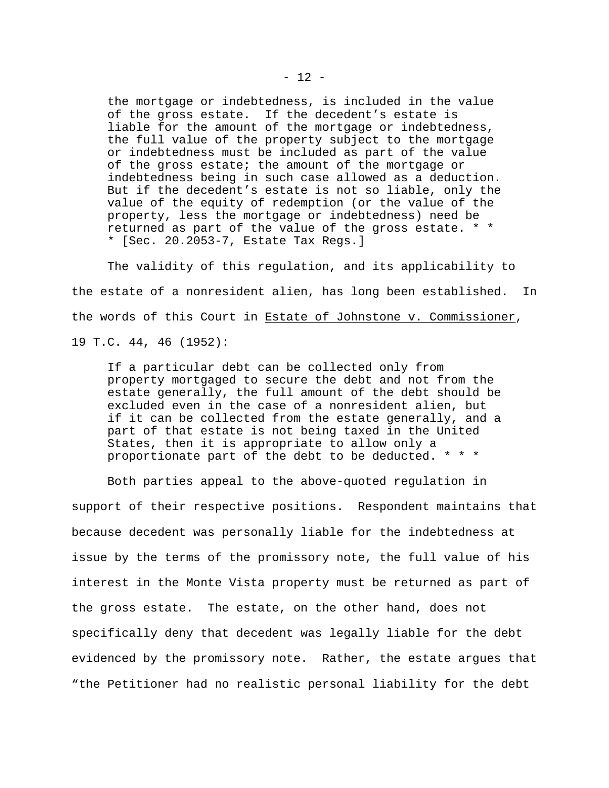the mortgage or indebtedness, is included in the value of the gross estate. If the decedent's estate is liable for the amount of the mortgage or indebtedness, the full value of the property subject to the mortgage or indebtedness must be included as part of the value of the gross estate; the amount of the mortgage or indebtedness being in such case allowed as a deduction. But if the decedent's estate is not so liable, only the value of the equity of redemption (or the value of the property, less the mortgage or indebtedness) need be returned as part of the value of the gross estate. \* \* \* [Sec. 20.2053-7, Estate Tax Regs.]

The validity of this regulation, and its applicability to the estate of a nonresident alien, has long been established. In the words of this Court in Estate of Johnstone v. Commissioner, 19 T.C. 44, 46 (1952):

If a particular debt can be collected only from property mortgaged to secure the debt and not from the estate generally, the full amount of the debt should be excluded even in the case of a nonresident alien, but if it can be collected from the estate generally, and a part of that estate is not being taxed in the United States, then it is appropriate to allow only a proportionate part of the debt to be deducted. \* \* \*

Both parties appeal to the above-quoted regulation in support of their respective positions. Respondent maintains that because decedent was personally liable for the indebtedness at issue by the terms of the promissory note, the full value of his interest in the Monte Vista property must be returned as part of the gross estate. The estate, on the other hand, does not specifically deny that decedent was legally liable for the debt evidenced by the promissory note. Rather, the estate argues that "the Petitioner had no realistic personal liability for the debt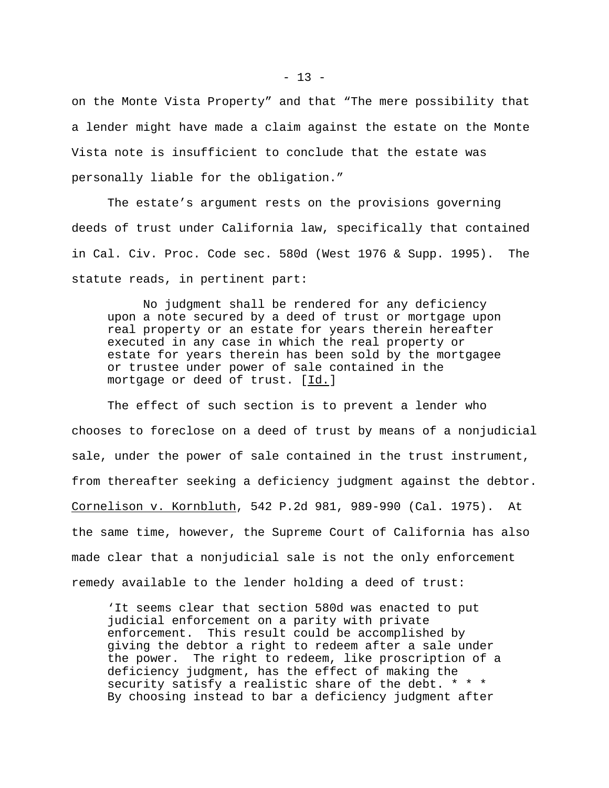on the Monte Vista Property" and that "The mere possibility that a lender might have made a claim against the estate on the Monte Vista note is insufficient to conclude that the estate was personally liable for the obligation."

The estate's argument rests on the provisions governing deeds of trust under California law, specifically that contained in Cal. Civ. Proc. Code sec. 580d (West 1976 & Supp. 1995). The statute reads, in pertinent part:

No judgment shall be rendered for any deficiency upon a note secured by a deed of trust or mortgage upon real property or an estate for years therein hereafter executed in any case in which the real property or estate for years therein has been sold by the mortgagee or trustee under power of sale contained in the mortgage or deed of trust. [Id.]

The effect of such section is to prevent a lender who chooses to foreclose on a deed of trust by means of a nonjudicial sale, under the power of sale contained in the trust instrument, from thereafter seeking a deficiency judgment against the debtor. Cornelison v. Kornbluth, 542 P.2d 981, 989-990 (Cal. 1975). At the same time, however, the Supreme Court of California has also made clear that a nonjudicial sale is not the only enforcement remedy available to the lender holding a deed of trust:

'It seems clear that section 580d was enacted to put judicial enforcement on a parity with private enforcement. This result could be accomplished by giving the debtor a right to redeem after a sale under the power. The right to redeem, like proscription of a deficiency judgment, has the effect of making the security satisfy a realistic share of the debt. \* \* \* By choosing instead to bar a deficiency judgment after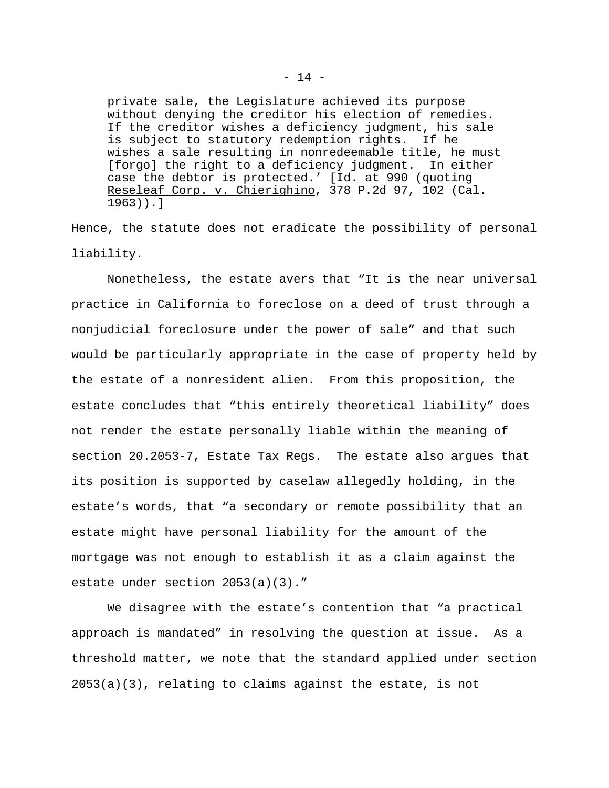private sale, the Legislature achieved its purpose without denying the creditor his election of remedies. If the creditor wishes a deficiency judgment, his sale is subject to statutory redemption rights. If he wishes a sale resulting in nonredeemable title, he must [forgo] the right to a deficiency judgment. In either case the debtor is protected.' [Id. at 990 (quoting Reseleaf Corp. v. Chierighino, 378 P.2d 97, 102 (Cal. 1963)).]

Hence, the statute does not eradicate the possibility of personal liability.

Nonetheless, the estate avers that "It is the near universal practice in California to foreclose on a deed of trust through a nonjudicial foreclosure under the power of sale" and that such would be particularly appropriate in the case of property held by the estate of a nonresident alien. From this proposition, the estate concludes that "this entirely theoretical liability" does not render the estate personally liable within the meaning of section 20.2053-7, Estate Tax Regs. The estate also argues that its position is supported by caselaw allegedly holding, in the estate's words, that "a secondary or remote possibility that an estate might have personal liability for the amount of the mortgage was not enough to establish it as a claim against the estate under section 2053(a)(3)."

We disagree with the estate's contention that "a practical approach is mandated" in resolving the question at issue. As a threshold matter, we note that the standard applied under section 2053(a)(3), relating to claims against the estate, is not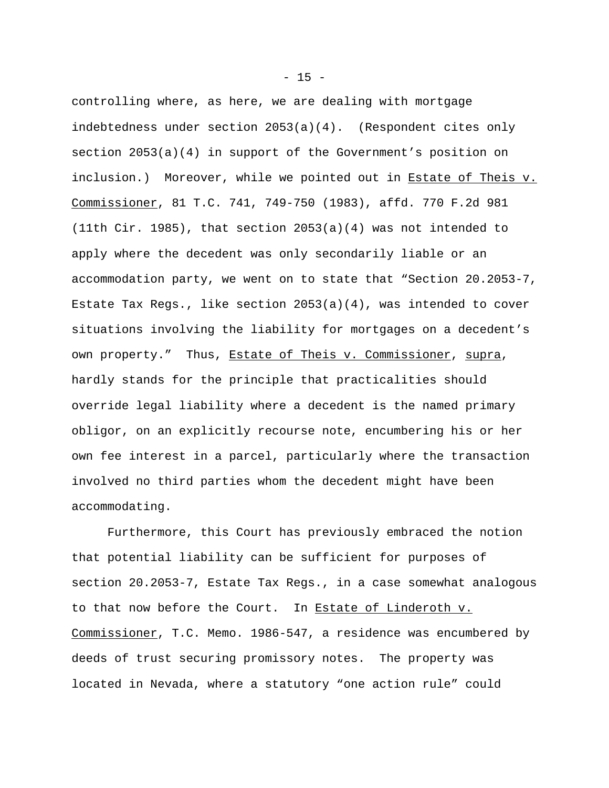controlling where, as here, we are dealing with mortgage indebtedness under section 2053(a)(4). (Respondent cites only section 2053(a)(4) in support of the Government's position on inclusion.) Moreover, while we pointed out in Estate of Theis v. Commissioner, 81 T.C. 741, 749-750 (1983), affd. 770 F.2d 981 (11th Cir. 1985), that section 2053(a)(4) was not intended to apply where the decedent was only secondarily liable or an accommodation party, we went on to state that "Section 20.2053-7, Estate Tax Regs., like section 2053(a)(4), was intended to cover situations involving the liability for mortgages on a decedent's own property." Thus, Estate of Theis v. Commissioner, supra, hardly stands for the principle that practicalities should override legal liability where a decedent is the named primary obligor, on an explicitly recourse note, encumbering his or her own fee interest in a parcel, particularly where the transaction involved no third parties whom the decedent might have been accommodating.

Furthermore, this Court has previously embraced the notion that potential liability can be sufficient for purposes of section 20.2053-7, Estate Tax Regs., in a case somewhat analogous to that now before the Court. In Estate of Linderoth v. Commissioner, T.C. Memo. 1986-547, a residence was encumbered by deeds of trust securing promissory notes. The property was located in Nevada, where a statutory "one action rule" could

 $- 15 -$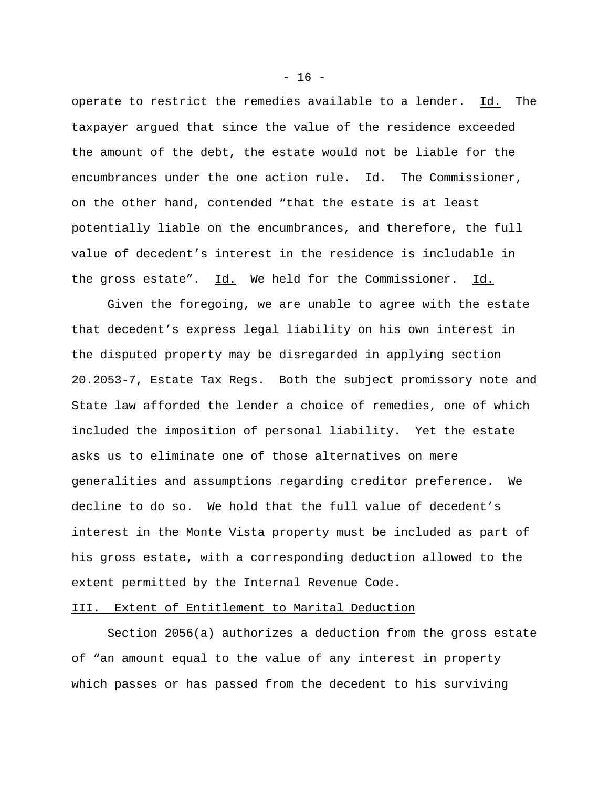operate to restrict the remedies available to a lender. Id. The taxpayer argued that since the value of the residence exceeded the amount of the debt, the estate would not be liable for the encumbrances under the one action rule. Id. The Commissioner, on the other hand, contended "that the estate is at least potentially liable on the encumbrances, and therefore, the full value of decedent's interest in the residence is includable in the gross estate". Id. We held for the Commissioner. Id.

Given the foregoing, we are unable to agree with the estate that decedent's express legal liability on his own interest in the disputed property may be disregarded in applying section 20.2053-7, Estate Tax Regs. Both the subject promissory note and State law afforded the lender a choice of remedies, one of which included the imposition of personal liability. Yet the estate asks us to eliminate one of those alternatives on mere generalities and assumptions regarding creditor preference. We decline to do so. We hold that the full value of decedent's interest in the Monte Vista property must be included as part of his gross estate, with a corresponding deduction allowed to the extent permitted by the Internal Revenue Code.

### III. Extent of Entitlement to Marital Deduction

Section 2056(a) authorizes a deduction from the gross estate of "an amount equal to the value of any interest in property which passes or has passed from the decedent to his surviving

 $- 16 -$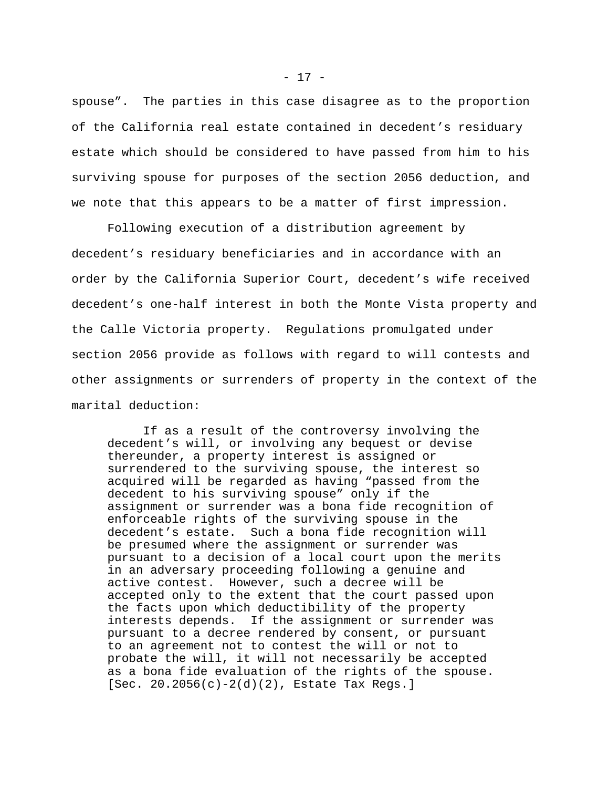spouse". The parties in this case disagree as to the proportion of the California real estate contained in decedent's residuary estate which should be considered to have passed from him to his surviving spouse for purposes of the section 2056 deduction, and we note that this appears to be a matter of first impression.

Following execution of a distribution agreement by decedent's residuary beneficiaries and in accordance with an order by the California Superior Court, decedent's wife received decedent's one-half interest in both the Monte Vista property and the Calle Victoria property. Regulations promulgated under section 2056 provide as follows with regard to will contests and other assignments or surrenders of property in the context of the marital deduction:

If as a result of the controversy involving the decedent's will, or involving any bequest or devise thereunder, a property interest is assigned or surrendered to the surviving spouse, the interest so acquired will be regarded as having "passed from the decedent to his surviving spouse" only if the assignment or surrender was a bona fide recognition of enforceable rights of the surviving spouse in the decedent's estate. Such a bona fide recognition will be presumed where the assignment or surrender was pursuant to a decision of a local court upon the merits in an adversary proceeding following a genuine and active contest. However, such a decree will be accepted only to the extent that the court passed upon the facts upon which deductibility of the property interests depends. If the assignment or surrender was pursuant to a decree rendered by consent, or pursuant to an agreement not to contest the will or not to probate the will, it will not necessarily be accepted as a bona fide evaluation of the rights of the spouse. [Sec. 20.2056(c)-2(d)(2), Estate Tax Regs.]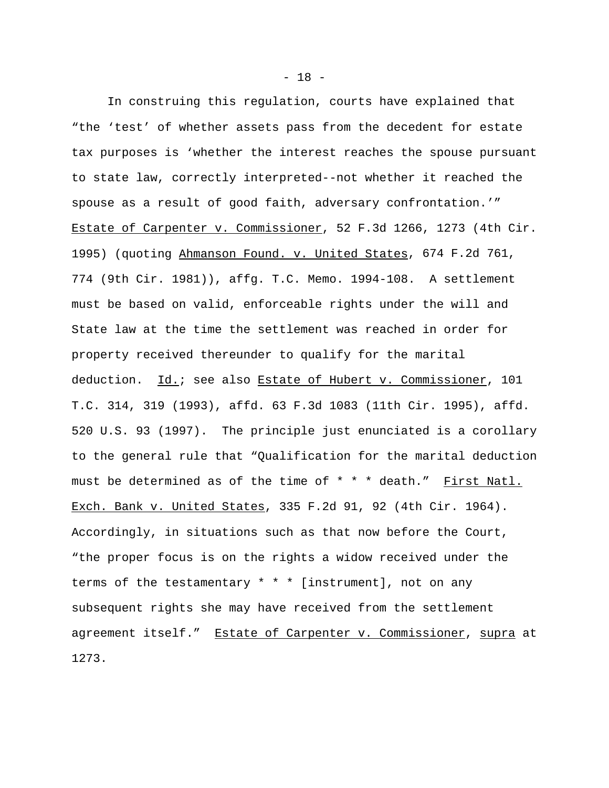In construing this regulation, courts have explained that "the 'test' of whether assets pass from the decedent for estate tax purposes is 'whether the interest reaches the spouse pursuant to state law, correctly interpreted--not whether it reached the spouse as a result of good faith, adversary confrontation.'" Estate of Carpenter v. Commissioner, 52 F.3d 1266, 1273 (4th Cir. 1995) (quoting Ahmanson Found. v. United States, 674 F.2d 761, 774 (9th Cir. 1981)), affg. T.C. Memo. 1994-108. A settlement must be based on valid, enforceable rights under the will and State law at the time the settlement was reached in order for property received thereunder to qualify for the marital deduction. Id.; see also Estate of Hubert v. Commissioner, 101 T.C. 314, 319 (1993), affd. 63 F.3d 1083 (11th Cir. 1995), affd. 520 U.S. 93 (1997). The principle just enunciated is a corollary to the general rule that "Qualification for the marital deduction must be determined as of the time of \* \* \* death." First Natl. Exch. Bank v. United States, 335 F.2d 91, 92 (4th Cir. 1964). Accordingly, in situations such as that now before the Court, "the proper focus is on the rights a widow received under the terms of the testamentary \* \* \* [instrument], not on any subsequent rights she may have received from the settlement agreement itself." Estate of Carpenter v. Commissioner, supra at 1273.

- 18 -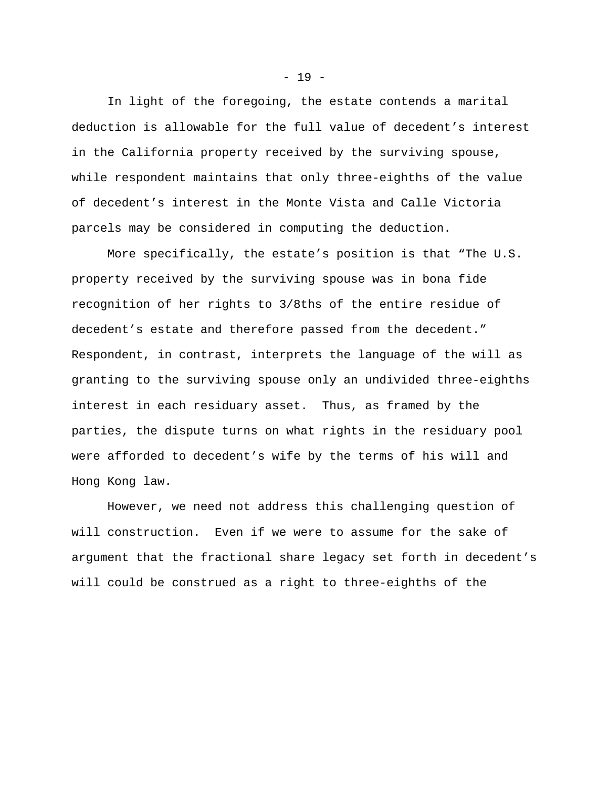In light of the foregoing, the estate contends a marital deduction is allowable for the full value of decedent's interest in the California property received by the surviving spouse, while respondent maintains that only three-eighths of the value of decedent's interest in the Monte Vista and Calle Victoria parcels may be considered in computing the deduction.

More specifically, the estate's position is that "The U.S. property received by the surviving spouse was in bona fide recognition of her rights to 3/8ths of the entire residue of decedent's estate and therefore passed from the decedent." Respondent, in contrast, interprets the language of the will as granting to the surviving spouse only an undivided three-eighths interest in each residuary asset. Thus, as framed by the parties, the dispute turns on what rights in the residuary pool were afforded to decedent's wife by the terms of his will and Hong Kong law.

However, we need not address this challenging question of will construction. Even if we were to assume for the sake of argument that the fractional share legacy set forth in decedent's will could be construed as a right to three-eighths of the

 $- 19 -$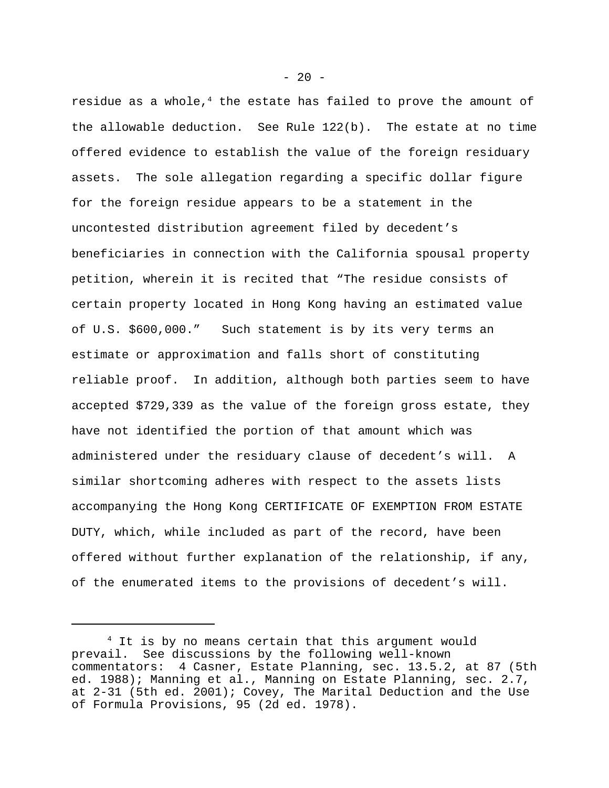residue as a whole, $4$  the estate has failed to prove the amount of the allowable deduction. See Rule 122(b). The estate at no time offered evidence to establish the value of the foreign residuary assets. The sole allegation regarding a specific dollar figure for the foreign residue appears to be a statement in the uncontested distribution agreement filed by decedent's beneficiaries in connection with the California spousal property petition, wherein it is recited that "The residue consists of certain property located in Hong Kong having an estimated value of U.S. \$600,000." Such statement is by its very terms an estimate or approximation and falls short of constituting reliable proof. In addition, although both parties seem to have accepted \$729,339 as the value of the foreign gross estate, they have not identified the portion of that amount which was administered under the residuary clause of decedent's will. A similar shortcoming adheres with respect to the assets lists accompanying the Hong Kong CERTIFICATE OF EXEMPTION FROM ESTATE DUTY, which, while included as part of the record, have been offered without further explanation of the relationship, if any, of the enumerated items to the provisions of decedent's will.

 $- 20 -$ 

<sup>&</sup>lt;sup>4</sup> It is by no means certain that this argument would prevail. See discussions by the following well-known commentators: 4 Casner, Estate Planning, sec. 13.5.2, at 87 (5th ed. 1988); Manning et al., Manning on Estate Planning, sec. 2.7, at 2-31 (5th ed. 2001); Covey, The Marital Deduction and the Use of Formula Provisions, 95 (2d ed. 1978).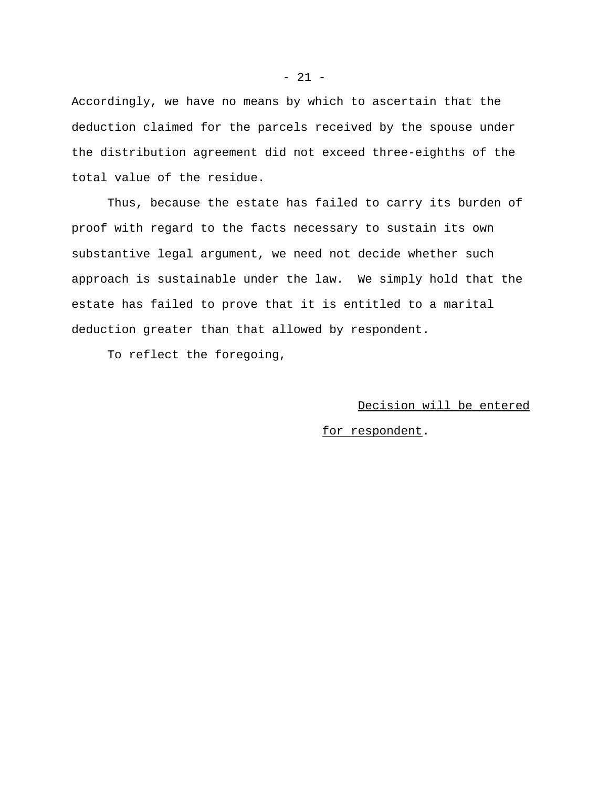Accordingly, we have no means by which to ascertain that the deduction claimed for the parcels received by the spouse under the distribution agreement did not exceed three-eighths of the total value of the residue.

Thus, because the estate has failed to carry its burden of proof with regard to the facts necessary to sustain its own substantive legal argument, we need not decide whether such approach is sustainable under the law. We simply hold that the estate has failed to prove that it is entitled to a marital deduction greater than that allowed by respondent.

To reflect the foregoing,

## Decision will be entered

### for respondent.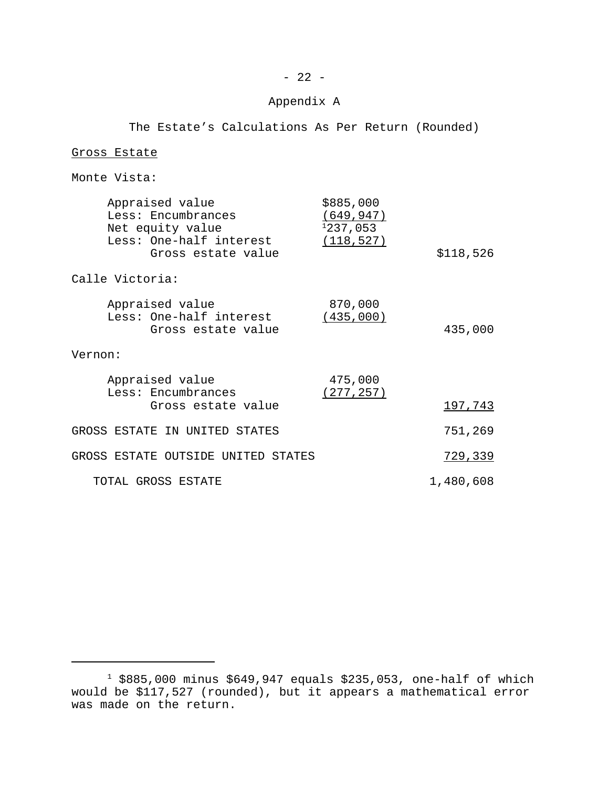# Appendix A

The Estate's Calculations As Per Return (Rounded)

### Gross Estate

# Monte Vista:

|                                    | Appraised value<br>Less: Encumbrances<br>Net equity value<br>Less: One-half interest | \$885,000<br>(649, 947)<br>1237,053<br>(118, 527) |           |
|------------------------------------|--------------------------------------------------------------------------------------|---------------------------------------------------|-----------|
|                                    | Gross estate value                                                                   |                                                   | \$118,526 |
| Calle Victoria:                    |                                                                                      |                                                   |           |
|                                    | Appraised value<br>Less: One-half interest<br>Gross estate value                     | 870,000<br>(435,000)                              | 435,000   |
| Vernon:                            |                                                                                      |                                                   |           |
|                                    | Appraised value<br>Less: Encumbrances                                                | 475,000<br>(277, 257)                             |           |
|                                    | Gross estate value                                                                   |                                                   | 197,743   |
|                                    | GROSS ESTATE IN UNITED STATES                                                        |                                                   | 751,269   |
| GROSS ESTATE OUTSIDE UNITED STATES |                                                                                      |                                                   | 729,339   |
| TOTAL GROSS ESTATE                 |                                                                                      |                                                   | 1,480,608 |

 $^1$  \$885,000 minus \$649,947 equals \$235,053, one-half of which would be \$117,527 (rounded), but it appears a mathematical error was made on the return.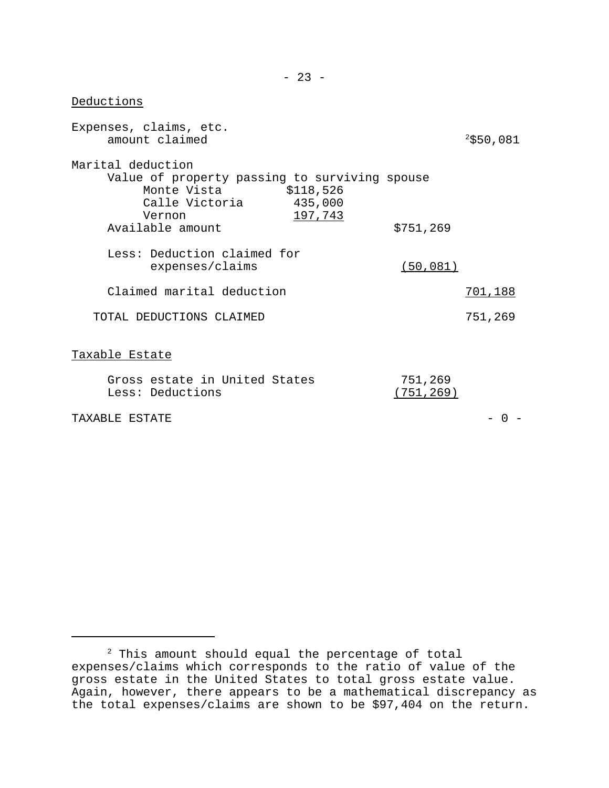Expenses, claims, etc. amount claimed  $2$ \$50,081 Marital deduction Value of property passing to surviving spouse Monte Vista  $$118,526$ Calle Victoria 435,000 Vernon 197, 743 Available amount \$751,269 Less: Deduction claimed for expenses/claims (50,081) Claimed marital deduction 701,188 TOTAL DEDUCTIONS CLAIMED 751,269 Taxable Estate Gross estate in United States 751,269 Less: Deductions (751,269)

 $\begin{array}{ccc} \texttt{TAXARLE} & \texttt{ESTATE} \\ \end{array}$ 

Deductions

 $2$  This amount should equal the percentage of total expenses/claims which corresponds to the ratio of value of the gross estate in the United States to total gross estate value. Again, however, there appears to be a mathematical discrepancy as the total expenses/claims are shown to be \$97,404 on the return.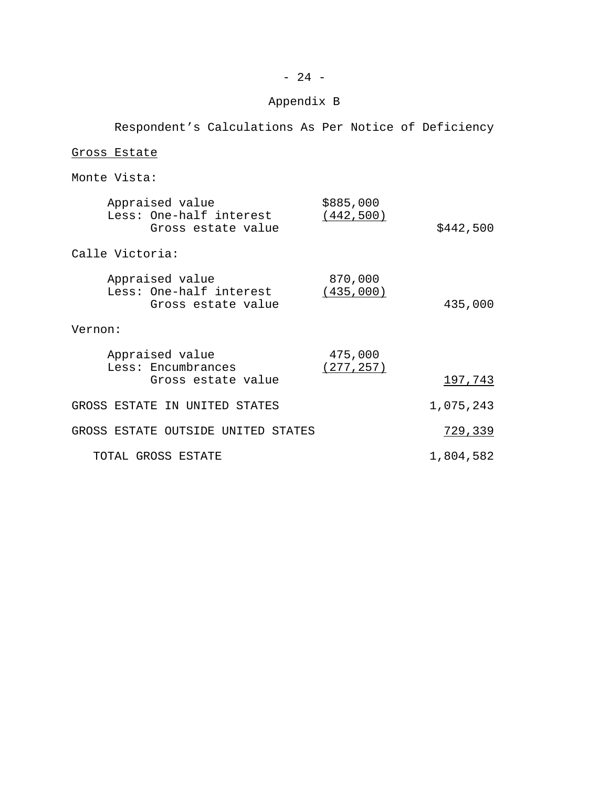## Appendix B

Respondent's Calculations As Per Notice of Deficiency Gross Estate Monte Vista: Appraised value \$885,000 Less: One-half interest (442,500) Gross estate value  $$442,500$ Calle Victoria: Appraised value 870,000 Less: One-half interest (435,000) Gross estate value 435,000 Vernon: Appraised value 475,000 Less: Encumbrances (277,257) Gross estate value 197,743 GROSS ESTATE IN UNITED STATES 1,075,243 GROSS ESTATE OUTSIDE UNITED STATES **1998** 729,339 TOTAL GROSS ESTATE 1,804,582